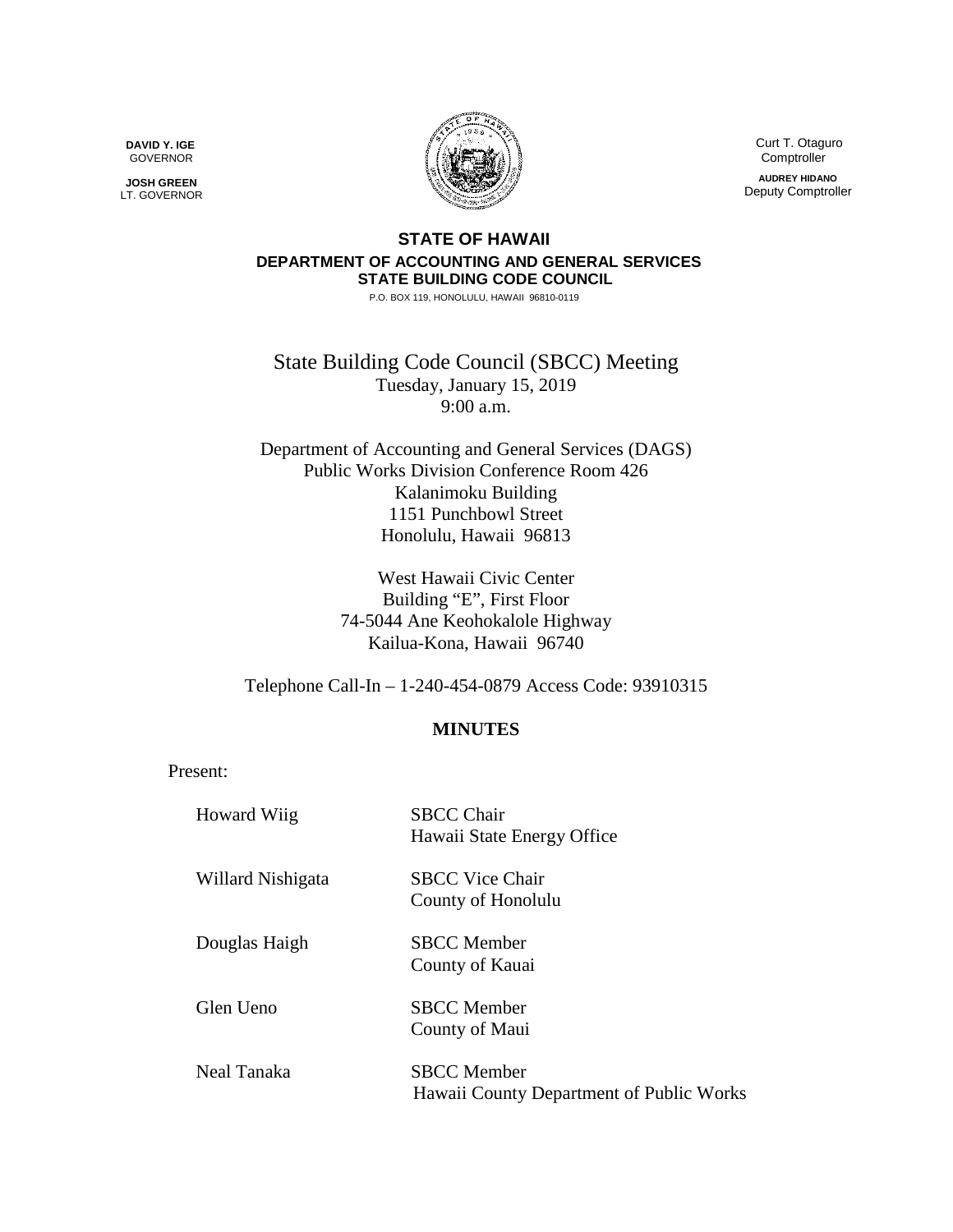**DAVID Y. IGE** GOVERNOR

**JOSH GREEN** LT. GOVERNOR



 Curt T. Otaguro **Comptroller AUDREY HIDANO** Deputy Comptroller

## **STATE OF HAWAII DEPARTMENT OF ACCOUNTING AND GENERAL SERVICES STATE BUILDING CODE COUNCIL**

P.O. BOX 119, HONOLULU, HAWAII 96810-0119

State Building Code Council (SBCC) Meeting Tuesday, January 15, 2019 9:00 a.m.

Department of Accounting and General Services (DAGS) Public Works Division Conference Room 426 Kalanimoku Building 1151 Punchbowl Street Honolulu, Hawaii 96813

> West Hawaii Civic Center Building "E", First Floor 74-5044 Ane Keohokalole Highway Kailua-Kona, Hawaii 96740

Telephone Call-In – 1-240-454-0879 Access Code: 93910315

## **MINUTES**

Present:

| <b>Howard Wiig</b> | <b>SBCC Chair</b><br>Hawaii State Energy Office                |
|--------------------|----------------------------------------------------------------|
| Willard Nishigata  | <b>SBCC Vice Chair</b><br>County of Honolulu                   |
| Douglas Haigh      | <b>SBCC</b> Member<br>County of Kauai                          |
| Glen Ueno          | <b>SBCC</b> Member<br>County of Maui                           |
| Neal Tanaka        | <b>SBCC</b> Member<br>Hawaii County Department of Public Works |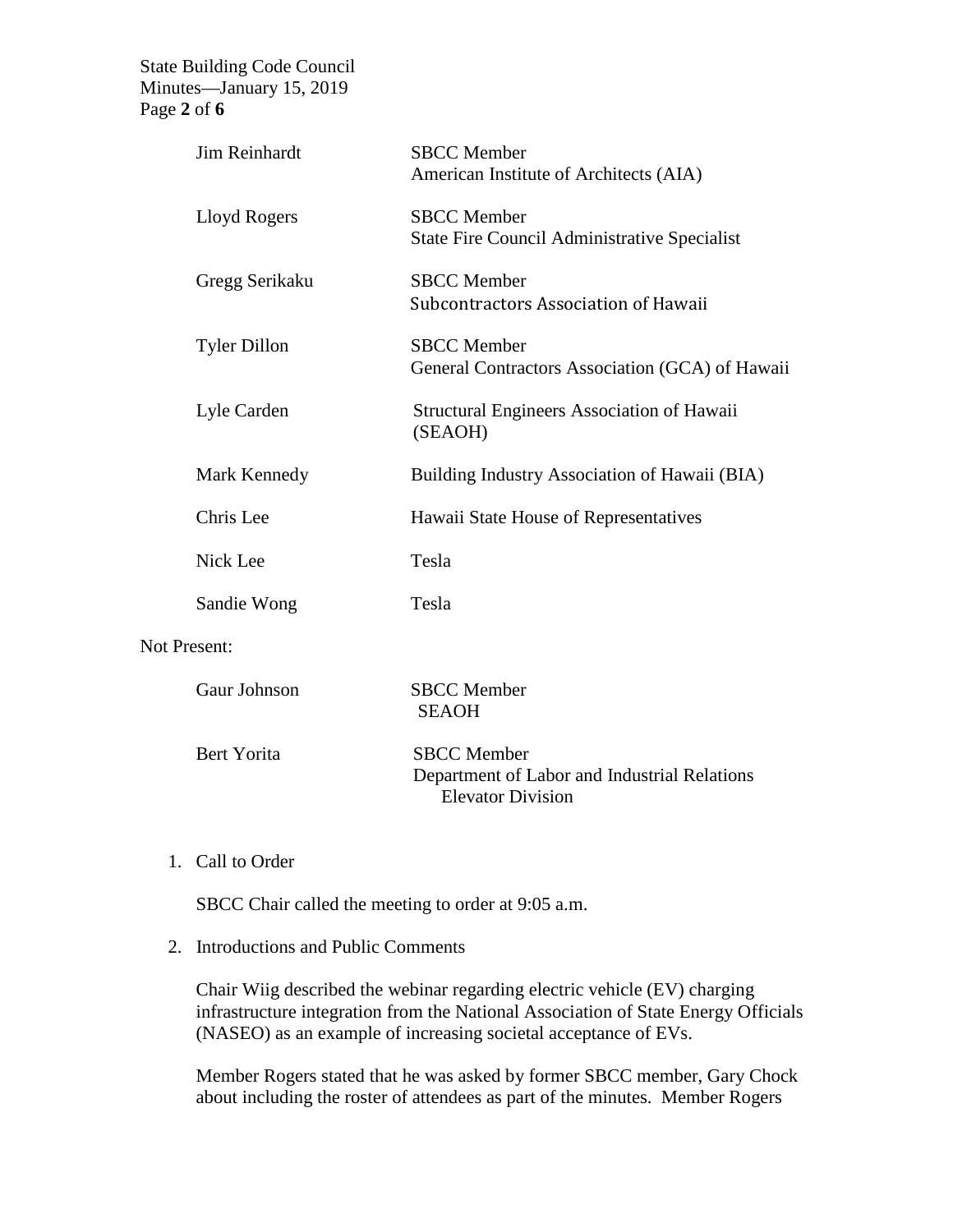State Building Code Council Minutes—January 15, 2019 Page **2** of **6**

| <b>SBCC</b> Member<br>Lloyd Rogers<br><b>State Fire Council Administrative Specialist</b><br><b>SBCC</b> Member<br>Gregg Serikaku<br>Subcontractors Association of Hawaii<br><b>SBCC</b> Member<br><b>Tyler Dillon</b><br>Lyle Carden<br>Structural Engineers Association of Hawaii<br>(SEAOH)<br>Mark Kennedy<br>Building Industry Association of Hawaii (BIA)<br>Chris Lee<br>Hawaii State House of Representatives<br>Nick Lee<br>Tesla<br>Tesla<br>Sandie Wong<br><b>Not Present:</b><br>Gaur Johnson<br><b>SBCC</b> Member<br><b>SEAOH</b> | Jim Reinhardt | <b>SBCC</b> Member<br>American Institute of Architects (AIA) |
|-------------------------------------------------------------------------------------------------------------------------------------------------------------------------------------------------------------------------------------------------------------------------------------------------------------------------------------------------------------------------------------------------------------------------------------------------------------------------------------------------------------------------------------------------|---------------|--------------------------------------------------------------|
|                                                                                                                                                                                                                                                                                                                                                                                                                                                                                                                                                 |               |                                                              |
|                                                                                                                                                                                                                                                                                                                                                                                                                                                                                                                                                 |               |                                                              |
|                                                                                                                                                                                                                                                                                                                                                                                                                                                                                                                                                 |               | General Contractors Association (GCA) of Hawaii              |
|                                                                                                                                                                                                                                                                                                                                                                                                                                                                                                                                                 |               |                                                              |
|                                                                                                                                                                                                                                                                                                                                                                                                                                                                                                                                                 |               |                                                              |
|                                                                                                                                                                                                                                                                                                                                                                                                                                                                                                                                                 |               |                                                              |
|                                                                                                                                                                                                                                                                                                                                                                                                                                                                                                                                                 |               |                                                              |
|                                                                                                                                                                                                                                                                                                                                                                                                                                                                                                                                                 |               |                                                              |
|                                                                                                                                                                                                                                                                                                                                                                                                                                                                                                                                                 |               |                                                              |
|                                                                                                                                                                                                                                                                                                                                                                                                                                                                                                                                                 |               |                                                              |

| Bert Yorita | <b>SBCC</b> Member                           |
|-------------|----------------------------------------------|
|             | Department of Labor and Industrial Relations |
|             | Elevator Division                            |

## 1. Call to Order

SBCC Chair called the meeting to order at 9:05 a.m.

## 2. Introductions and Public Comments

Chair Wiig described the webinar regarding electric vehicle (EV) charging infrastructure integration from the National Association of State Energy Officials (NASEO) as an example of increasing societal acceptance of EVs.

Member Rogers stated that he was asked by former SBCC member, Gary Chock about including the roster of attendees as part of the minutes. Member Rogers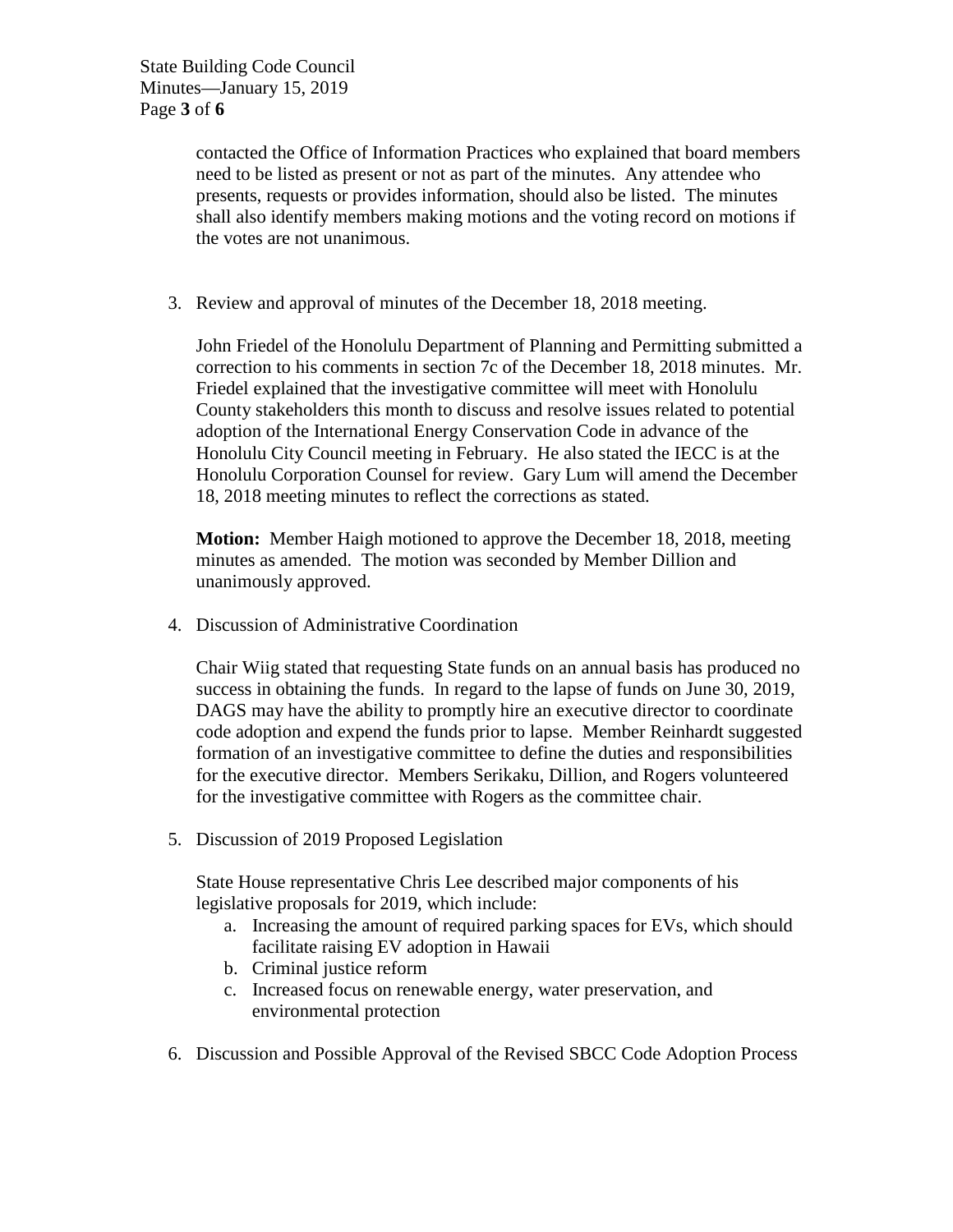contacted the Office of Information Practices who explained that board members need to be listed as present or not as part of the minutes. Any attendee who presents, requests or provides information, should also be listed. The minutes shall also identify members making motions and the voting record on motions if the votes are not unanimous.

3. Review and approval of minutes of the December 18, 2018 meeting.

John Friedel of the Honolulu Department of Planning and Permitting submitted a correction to his comments in section 7c of the December 18, 2018 minutes. Mr. Friedel explained that the investigative committee will meet with Honolulu County stakeholders this month to discuss and resolve issues related to potential adoption of the International Energy Conservation Code in advance of the Honolulu City Council meeting in February. He also stated the IECC is at the Honolulu Corporation Counsel for review. Gary Lum will amend the December 18, 2018 meeting minutes to reflect the corrections as stated.

**Motion:** Member Haigh motioned to approve the December 18, 2018, meeting minutes as amended. The motion was seconded by Member Dillion and unanimously approved.

4. Discussion of Administrative Coordination

Chair Wiig stated that requesting State funds on an annual basis has produced no success in obtaining the funds. In regard to the lapse of funds on June 30, 2019, DAGS may have the ability to promptly hire an executive director to coordinate code adoption and expend the funds prior to lapse. Member Reinhardt suggested formation of an investigative committee to define the duties and responsibilities for the executive director. Members Serikaku, Dillion, and Rogers volunteered for the investigative committee with Rogers as the committee chair.

5. Discussion of 2019 Proposed Legislation

State House representative Chris Lee described major components of his legislative proposals for 2019, which include:

- a. Increasing the amount of required parking spaces for EVs, which should facilitate raising EV adoption in Hawaii
- b. Criminal justice reform
- c. Increased focus on renewable energy, water preservation, and environmental protection
- 6. Discussion and Possible Approval of the Revised SBCC Code Adoption Process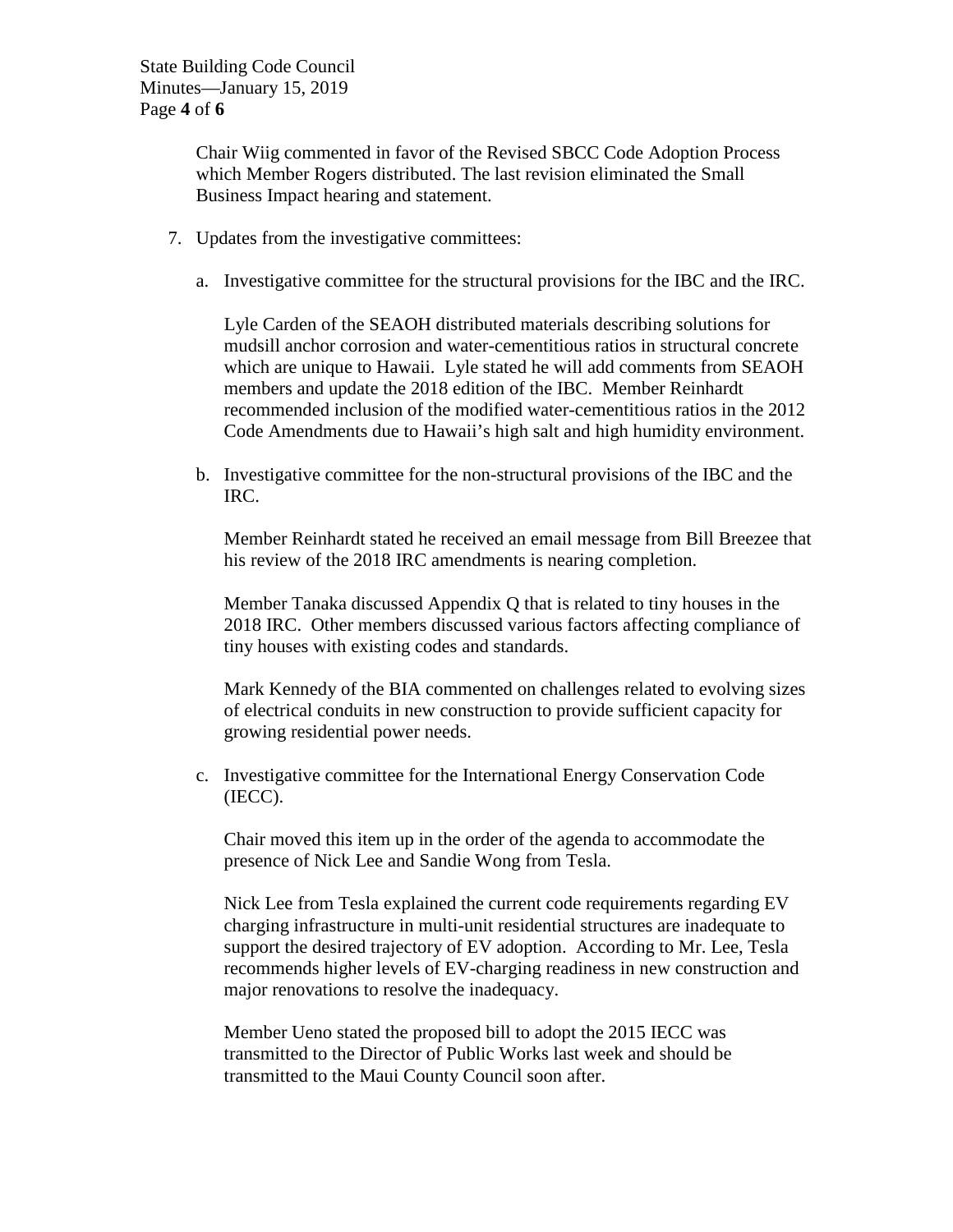Chair Wiig commented in favor of the Revised SBCC Code Adoption Process which Member Rogers distributed. The last revision eliminated the Small Business Impact hearing and statement.

- 7. Updates from the investigative committees:
	- a. Investigative committee for the structural provisions for the IBC and the IRC.

Lyle Carden of the SEAOH distributed materials describing solutions for mudsill anchor corrosion and water-cementitious ratios in structural concrete which are unique to Hawaii. Lyle stated he will add comments from SEAOH members and update the 2018 edition of the IBC. Member Reinhardt recommended inclusion of the modified water-cementitious ratios in the 2012 Code Amendments due to Hawaii's high salt and high humidity environment.

b. Investigative committee for the non-structural provisions of the IBC and the IRC.

Member Reinhardt stated he received an email message from Bill Breezee that his review of the 2018 IRC amendments is nearing completion.

Member Tanaka discussed Appendix Q that is related to tiny houses in the 2018 IRC. Other members discussed various factors affecting compliance of tiny houses with existing codes and standards.

Mark Kennedy of the BIA commented on challenges related to evolving sizes of electrical conduits in new construction to provide sufficient capacity for growing residential power needs.

c. Investigative committee for the International Energy Conservation Code (IECC).

Chair moved this item up in the order of the agenda to accommodate the presence of Nick Lee and Sandie Wong from Tesla.

Nick Lee from Tesla explained the current code requirements regarding EV charging infrastructure in multi-unit residential structures are inadequate to support the desired trajectory of EV adoption. According to Mr. Lee, Tesla recommends higher levels of EV-charging readiness in new construction and major renovations to resolve the inadequacy.

Member Ueno stated the proposed bill to adopt the 2015 IECC was transmitted to the Director of Public Works last week and should be transmitted to the Maui County Council soon after.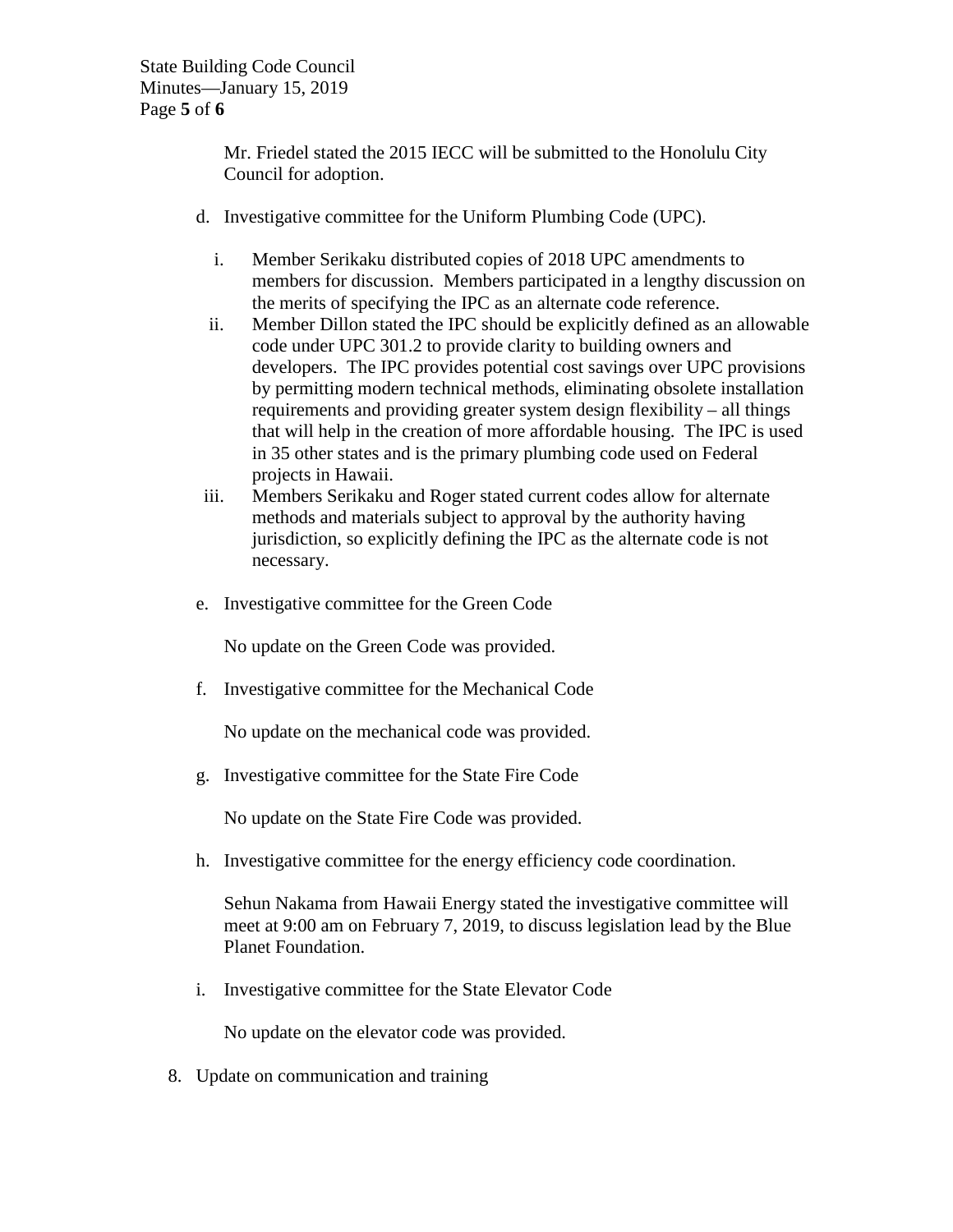Mr. Friedel stated the 2015 IECC will be submitted to the Honolulu City Council for adoption.

- d. Investigative committee for the Uniform Plumbing Code (UPC).
	- i. Member Serikaku distributed copies of 2018 UPC amendments to members for discussion. Members participated in a lengthy discussion on the merits of specifying the IPC as an alternate code reference.
	- ii. Member Dillon stated the IPC should be explicitly defined as an allowable code under UPC 301.2 to provide clarity to building owners and developers. The IPC provides potential cost savings over UPC provisions by permitting modern technical methods, eliminating obsolete installation requirements and providing greater system design flexibility – all things that will help in the creation of more affordable housing. The IPC is used in 35 other states and is the primary plumbing code used on Federal projects in Hawaii.
- iii. Members Serikaku and Roger stated current codes allow for alternate methods and materials subject to approval by the authority having jurisdiction, so explicitly defining the IPC as the alternate code is not necessary.
- e. Investigative committee for the Green Code

No update on the Green Code was provided.

f. Investigative committee for the Mechanical Code

No update on the mechanical code was provided.

g. Investigative committee for the State Fire Code

No update on the State Fire Code was provided.

h. Investigative committee for the energy efficiency code coordination.

Sehun Nakama from Hawaii Energy stated the investigative committee will meet at 9:00 am on February 7, 2019, to discuss legislation lead by the Blue Planet Foundation.

i. Investigative committee for the State Elevator Code

No update on the elevator code was provided.

8. Update on communication and training